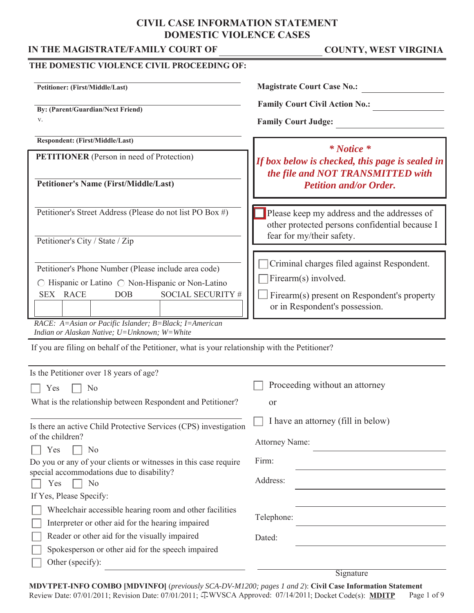# **CIVIL CASE INFORMATION STATEMENT DOMESTIC VIOLENCE CASES**

### IN THE MAGISTRATE/FAMILY COURT OF COUNTY, WEST VIRGINIA

| THE DOMESTIC VIOLENCE CIVIL PROCEEDING OF:                                                                                                                                                              |                                                                                                                                                     |
|---------------------------------------------------------------------------------------------------------------------------------------------------------------------------------------------------------|-----------------------------------------------------------------------------------------------------------------------------------------------------|
| Petitioner: (First/Middle/Last)                                                                                                                                                                         | <b>Magistrate Court Case No.:</b>                                                                                                                   |
| <b>By: (Parent/Guardian/Next Friend)</b><br>V.                                                                                                                                                          | <b>Family Court Civil Action No.:</b><br><b>Family Court Judge:</b>                                                                                 |
| Respondent: (First/Middle/Last)                                                                                                                                                                         |                                                                                                                                                     |
| <b>PETITIONER</b> (Person in need of Protection)                                                                                                                                                        | $*$ Notice $*$<br>If box below is checked, this page is sealed in<br>the file and NOT TRANSMITTED with                                              |
| <b>Petitioner's Name (First/Middle/Last)</b>                                                                                                                                                            | <b>Petition and/or Order.</b>                                                                                                                       |
| Petitioner's Street Address (Please do not list PO Box #)<br>Petitioner's City / State / Zip                                                                                                            | Please keep my address and the addresses of<br>other protected persons confidential because I<br>fear for my/their safety.                          |
| Petitioner's Phone Number (Please include area code)<br>$\bigcirc$ Hispanic or Latino $\bigcirc$ Non-Hispanic or Non-Latino<br><b>SOCIAL SECURITY #</b><br>SEX RACE<br><b>DOB</b>                       | Criminal charges filed against Respondent.<br>Firearm(s) involved.<br>Firearm(s) present on Respondent's property<br>or in Respondent's possession. |
| RACE: A=Asian or Pacific Islander; B=Black; I=American<br>Indian or Alaskan Native; U=Unknown; W=White<br>If you are filing on behalf of the Petitioner, what is your relationship with the Petitioner? |                                                                                                                                                     |
| Is the Petitioner over 18 years of age?                                                                                                                                                                 |                                                                                                                                                     |
| N <sub>o</sub><br>Yes                                                                                                                                                                                   | Proceeding without an attorney                                                                                                                      |
| What is the relationship between Respondent and Petitioner?                                                                                                                                             | or                                                                                                                                                  |
| Is there an active Child Protective Services (CPS) investigation<br>of the children?<br>Yes<br>N <sub>o</sub>                                                                                           | I have an attorney (fill in below)<br><b>Attorney Name:</b>                                                                                         |
| Do you or any of your clients or witnesses in this case require                                                                                                                                         | Firm:                                                                                                                                               |
| special accommodations due to disability?<br>Yes<br>N <sub>o</sub>                                                                                                                                      | Address:                                                                                                                                            |
| If Yes, Please Specify:                                                                                                                                                                                 |                                                                                                                                                     |
| Wheelchair accessible hearing room and other facilities<br>Interpreter or other aid for the hearing impaired                                                                                            | Telephone:                                                                                                                                          |
| Reader or other aid for the visually impaired<br>Spokesperson or other aid for the speech impaired<br>Other (specify):                                                                                  | Dated:                                                                                                                                              |

**Signature** 

Review Date: 07/01/2011; Revision Date: 07/01/2011;  $\oplus$ WVSCA Approved: 07/14/2011; Docket Code(s): **MDITP** Page 1 of 9 **MDVTPET-INFO COMBO [MDVINFO]** (*previously SCA-DV-M1200; pages 1 and 2*): **Civil Case Information Statement**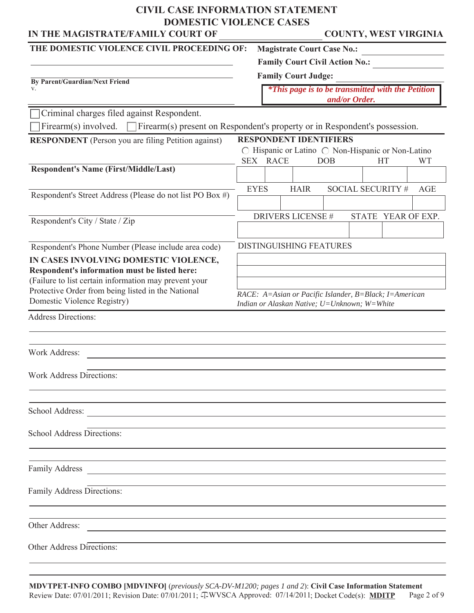# **CIVIL CASE INFORMATION STATEMENT DOMESTIC VIOLENCE CASES**

| DOMESTIC VIOLENCE CASES<br>IN THE MAGISTRATE/FAMILY COURT OF                                                                             |            |             |             |                                                                                                        |               |  |                   | <b>COUNTY, WEST VIRGINIA</b> |
|------------------------------------------------------------------------------------------------------------------------------------------|------------|-------------|-------------|--------------------------------------------------------------------------------------------------------|---------------|--|-------------------|------------------------------|
| THE DOMESTIC VIOLENCE CIVIL PROCEEDING OF:                                                                                               |            |             |             | <b>Magistrate Court Case No.:</b>                                                                      |               |  |                   |                              |
|                                                                                                                                          |            |             |             | <b>Family Court Civil Action No.:</b>                                                                  |               |  |                   |                              |
| By Parent/Guardian/Next Friend                                                                                                           |            |             |             | <b>Family Court Judge:</b>                                                                             |               |  |                   |                              |
| v.                                                                                                                                       |            |             |             | <i>*This page is to be transmitted with the Petition</i>                                               | and/or Order. |  |                   |                              |
| Criminal charges filed against Respondent.                                                                                               |            |             |             |                                                                                                        |               |  |                   |                              |
| Firearm(s) involved.<br>Firearm(s) present on Respondent's property or in Respondent's possession.                                       |            |             |             |                                                                                                        |               |  |                   |                              |
| <b>RESPONDENT</b> (Person you are filing Petition against)                                                                               | <b>SEX</b> |             | <b>RACE</b> | <b>RESPONDENT IDENTIFIERS</b><br>○ Hispanic or Latino ○ Non-Hispanic or Non-Latino                     | <b>DOB</b>    |  | <b>HT</b>         | <b>WT</b>                    |
| <b>Respondent's Name (First/Middle/Last)</b>                                                                                             |            |             |             |                                                                                                        |               |  |                   |                              |
|                                                                                                                                          |            | <b>EYES</b> |             | <b>HAIR</b>                                                                                            |               |  | SOCIAL SECURITY # | <b>AGE</b>                   |
| Respondent's Street Address (Please do not list PO Box #)                                                                                |            |             |             |                                                                                                        |               |  |                   |                              |
|                                                                                                                                          |            |             |             | <b>DRIVERS LICENSE #</b>                                                                               |               |  |                   | STATE YEAR OF EXP.           |
| Respondent's City / State / Zip                                                                                                          |            |             |             |                                                                                                        |               |  |                   |                              |
| Respondent's Phone Number (Please include area code)                                                                                     |            |             |             | <b>DISTINGUISHING FEATURES</b>                                                                         |               |  |                   |                              |
| IN CASES INVOLVING DOMESTIC VIOLENCE,                                                                                                    |            |             |             |                                                                                                        |               |  |                   |                              |
| Respondent's information must be listed here:                                                                                            |            |             |             |                                                                                                        |               |  |                   |                              |
| (Failure to list certain information may prevent your<br>Protective Order from being listed in the National                              |            |             |             |                                                                                                        |               |  |                   |                              |
| Domestic Violence Registry)                                                                                                              |            |             |             | RACE: A=Asian or Pacific Islander, B=Black; I=American<br>Indian or Alaskan Native; U=Unknown; W=White |               |  |                   |                              |
| <b>Address Directions:</b>                                                                                                               |            |             |             |                                                                                                        |               |  |                   |                              |
|                                                                                                                                          |            |             |             |                                                                                                        |               |  |                   |                              |
| <b>Work Address:</b>                                                                                                                     |            |             |             |                                                                                                        |               |  |                   |                              |
|                                                                                                                                          |            |             |             |                                                                                                        |               |  |                   |                              |
| <b>Work Address Directions:</b>                                                                                                          |            |             |             |                                                                                                        |               |  |                   |                              |
|                                                                                                                                          |            |             |             |                                                                                                        |               |  |                   |                              |
| School Address:<br><u> 1989 - Johann Harry Harry Harry Harry Harry Harry Harry Harry Harry Harry Harry Harry Harry Harry Harry Harry</u> |            |             |             |                                                                                                        |               |  |                   |                              |
| <b>School Address Directions:</b>                                                                                                        |            |             |             |                                                                                                        |               |  |                   |                              |
|                                                                                                                                          |            |             |             |                                                                                                        |               |  |                   |                              |
|                                                                                                                                          |            |             |             |                                                                                                        |               |  |                   |                              |
|                                                                                                                                          |            |             |             |                                                                                                        |               |  |                   |                              |
| Family Address Directions:                                                                                                               |            |             |             |                                                                                                        |               |  |                   |                              |

Other Address:

Other Address Directions: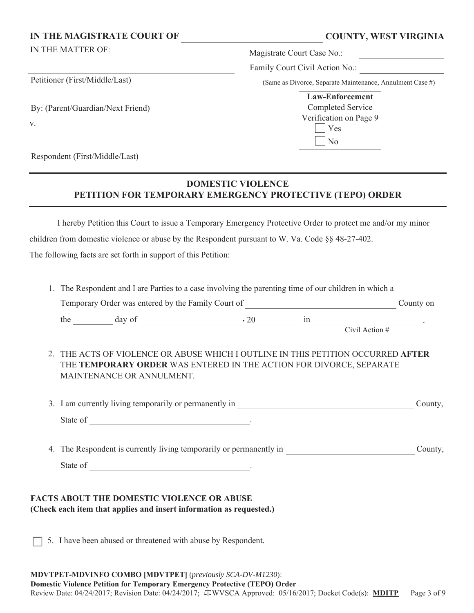#### IN THE MAGISTRATE COURT OF **COUNTY, WEST VIRGINIA**

v.

Petitioner (First/Middle/Last)

By: (Parent/Guardian/Next Friend)

IN THE MATTER OF: Magistrate Court Case No.:

Family Court Civil Action No.:

(Same as Divorce, Separate Maintenance, Annulment Case #)

| <b>Law-Enforcement</b> |  |  |  |  |
|------------------------|--|--|--|--|
| Completed Service      |  |  |  |  |
| Verification on Page 9 |  |  |  |  |
| Yes                    |  |  |  |  |
| N <sub>o</sub>         |  |  |  |  |

Respondent (First/Middle/Last)

## **DOMESTIC VIOLENCE PETITION FOR TEMPORARY EMERGENCY PROTECTIVE (TEPO) ORDER**

 I hereby Petition this Court to issue a Temporary Emergency Protective Order to protect me and/or my minor children from domestic violence or abuse by the Respondent pursuant to W. Va. Code §§ 48-27-402. The following facts are set forth in support of this Petition:

| the $\frac{1}{\sqrt{2}}$ day of $\frac{1}{\sqrt{2}}$ , 20 $\frac{1}{\sqrt{2}}$ in $\frac{1}{\sqrt{2}}$ .                                                                             |  |         |
|--------------------------------------------------------------------------------------------------------------------------------------------------------------------------------------|--|---------|
|                                                                                                                                                                                      |  |         |
| 2. THE ACTS OF VIOLENCE OR ABUSE WHICH I OUTLINE IN THIS PETITION OCCURRED AFTER<br>THE TEMPORARY ORDER WAS ENTERED IN THE ACTION FOR DIVORCE, SEPARATE<br>MAINTENANCE OR ANNULMENT. |  |         |
|                                                                                                                                                                                      |  | County, |
|                                                                                                                                                                                      |  |         |
|                                                                                                                                                                                      |  | County, |
|                                                                                                                                                                                      |  |         |

**(Check each item that applies and insert information as requested.)**

5. I have been abused or threatened with abuse by Respondent.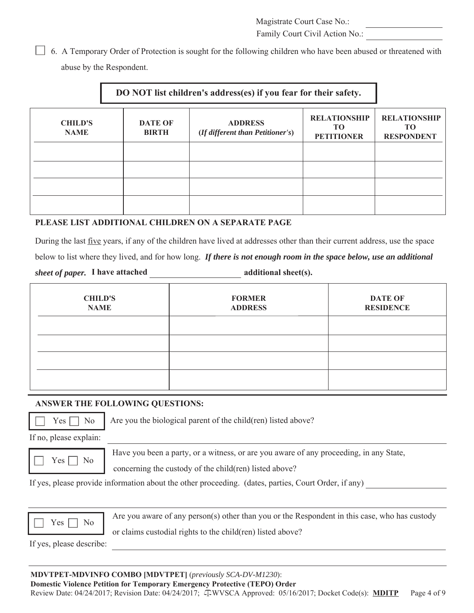Family Court Civil Action No.:

 6. A Temporary Order of Protection is sought for the following children who have been abused or threatened with abuse by the Respondent.

# **DO NOT list children's address(es) if you fear for their safety.**

| <b>CHILD'S</b><br><b>NAME</b> | <b>DATE OF</b><br><b>BIRTH</b> | <b>ADDRESS</b><br>(If different than Petitioner's) | <b>RELATIONSHIP</b><br>TО<br><b>PETITIONER</b> | <b>RELATIONSHIP</b><br>TО<br><b>RESPONDENT</b> |
|-------------------------------|--------------------------------|----------------------------------------------------|------------------------------------------------|------------------------------------------------|
|                               |                                |                                                    |                                                |                                                |
|                               |                                |                                                    |                                                |                                                |
|                               |                                |                                                    |                                                |                                                |
|                               |                                |                                                    |                                                |                                                |

#### **PLEASE LIST ADDITIONAL CHILDREN ON A SEPARATE PAGE**

During the last five years, if any of the children have lived at addresses other than their current address, use the space

below to list where they lived, and for how long. *If there is not enough room in the space below, use an additional* 

*sheet of paper.* I have attached additional sheet(s).

| <b>CHILD'S</b><br><b>NAME</b> | <b>FORMER</b><br><b>ADDRESS</b> | <b>DATE OF</b><br><b>RESIDENCE</b> |
|-------------------------------|---------------------------------|------------------------------------|
|                               |                                 |                                    |
|                               |                                 |                                    |
|                               |                                 |                                    |
|                               |                                 |                                    |

#### **ANSWER THE FOLLOWING QUESTIONS:**



 $Yes \nightharpoonup No \nightharpoonup Are you the biological parent of the child (ren) listed above?$ 

If no, please explain:



Yes  $\Box$  No Have you been a party, or a witness, or are you aware of any proceeding, in any State,

concerning the custody of the child(ren) listed above?

If yes, please provide information about the other proceeding. (dates, parties, Court Order, if any)



Yes  $\Box$  No Are you aware of any person(s) other than you or the Respondent in this case, who has custody

or claims custodial rights to the child(ren) listed above?

If yes, please describe:

#### **MDVTPET-MDVINFO COMBO [MDVTPET]** (*previously SCA-DV-M1230*):

Page 4 of 9 **Domestic Violence Petition for Temporary Emergency Protective (TEPO) Order** Review Date: 04/24/2017; Revision Date: 04/24/2017;  $\oplus$ WVSCA Approved: 05/16/2017; Docket Code(s): **MDITP**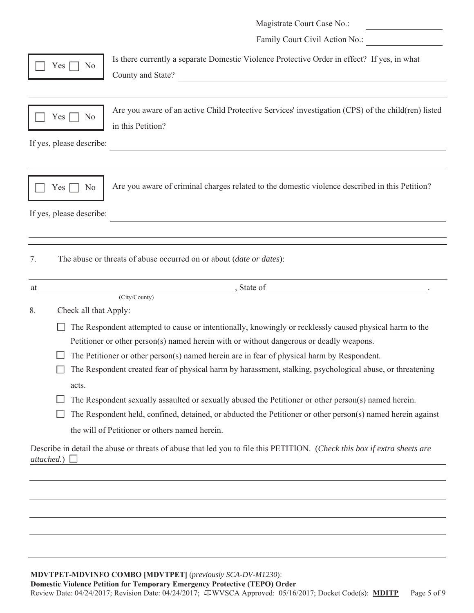|    |                          | Magistrate Court Case No.:                                                                                                                                                                         |
|----|--------------------------|----------------------------------------------------------------------------------------------------------------------------------------------------------------------------------------------------|
|    |                          | Family Court Civil Action No.:                                                                                                                                                                     |
|    | Yes<br>N <sub>o</sub>    | Is there currently a separate Domestic Violence Protective Order in effect? If yes, in what<br>County and State?<br><u> 1980 - Johann Barbara, martxa alemaniar amerikan a</u>                     |
|    | Yes<br>N <sub>o</sub>    | Are you aware of an active Child Protective Services' investigation (CPS) of the child(ren) listed<br>in this Petition?                                                                            |
|    | If yes, please describe: |                                                                                                                                                                                                    |
|    | N <sub>o</sub><br>Yes    | Are you aware of criminal charges related to the domestic violence described in this Petition?                                                                                                     |
|    | If yes, please describe: |                                                                                                                                                                                                    |
| 7. |                          | The abuse or threats of abuse occurred on or about (date or dates):                                                                                                                                |
| at |                          | $\int$ , State of<br>(City/County)                                                                                                                                                                 |
|    |                          |                                                                                                                                                                                                    |
| 8. | Check all that Apply:    |                                                                                                                                                                                                    |
|    |                          | The Respondent attempted to cause or intentionally, knowingly or recklessly caused physical harm to the<br>Petitioner or other person(s) named herein with or without dangerous or deadly weapons. |
|    |                          | The Petitioner or other person(s) named herein are in fear of physical harm by Respondent.                                                                                                         |
|    |                          | The Respondent created fear of physical harm by harassment, stalking, psychological abuse, or threatening                                                                                          |
|    | acts.                    |                                                                                                                                                                                                    |
|    |                          | The Respondent sexually assaulted or sexually abused the Petitioner or other person(s) named herein.                                                                                               |
|    |                          | The Respondent held, confined, detained, or abducted the Petitioner or other person(s) named herein against                                                                                        |
|    |                          | the will of Petitioner or others named herein.                                                                                                                                                     |
|    | attached.)               | Describe in detail the abuse or threats of abuse that led you to file this PETITION. (Check this box if extra sheets are                                                                           |
|    |                          |                                                                                                                                                                                                    |
|    |                          |                                                                                                                                                                                                    |
|    |                          |                                                                                                                                                                                                    |
|    |                          |                                                                                                                                                                                                    |
|    |                          |                                                                                                                                                                                                    |
|    |                          |                                                                                                                                                                                                    |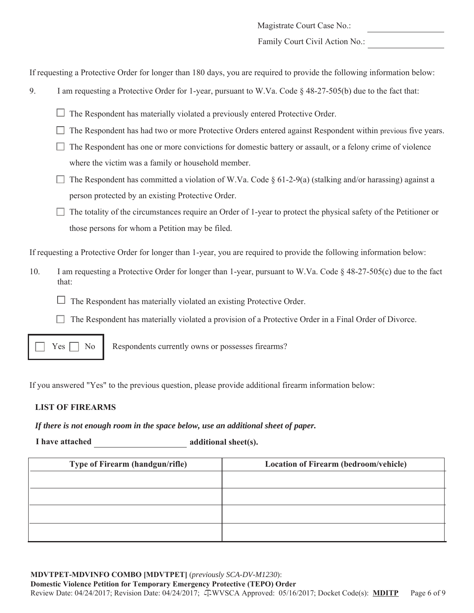Family Court Civil Action No.:

If requesting a Protective Order for longer than 180 days, you are required to provide the following information below:

- 9. I am requesting a Protective Order for 1-year, pursuant to W.Va. Code § 48-27-505(b) due to the fact that:
	- $\Box$  The Respondent has materially violated a previously entered Protective Order.
	- The Respondent has had two or more Protective Orders entered against Respondent within previous five years.
	- $\Box$  The Respondent has one or more convictions for domestic battery or assault, or a felony crime of violence where the victim was a family or household member.
	- The Respondent has committed a violation of W.Va. Code  $\S 61-2-9(a)$  (stalking and/or harassing) against a person protected by an existing Protective Order.
	- $\Box$  The totality of the circumstances require an Order of 1-year to protect the physical safety of the Petitioner or those persons for whom a Petition may be filed.

If requesting a Protective Order for longer than 1-year, you are required to provide the following information below:

- 10. I am requesting a Protective Order for longer than 1-year, pursuant to W.Va. Code § 48-27-505(c) due to the fact that:
	- The Respondent has materially violated an existing Protective Order.
	- The Respondent has materially violated a provision of a Protective Order in a Final Order of Divorce.



 $Yes \frown No \rvert$  Respondents currently owns or possesses firearms?

If you answered "Yes" to the previous question, please provide additional firearm information below:

#### **LIST OF FIREARMS**

*If there is not enough room in the space below, use an additional sheet of paper.*

**I** have attached additional sheet(s).

| <b>Type of Firearm (handgun/rifle)</b> | <b>Location of Firearm (bedroom/vehicle)</b> |
|----------------------------------------|----------------------------------------------|
|                                        |                                              |
|                                        |                                              |
|                                        |                                              |
|                                        |                                              |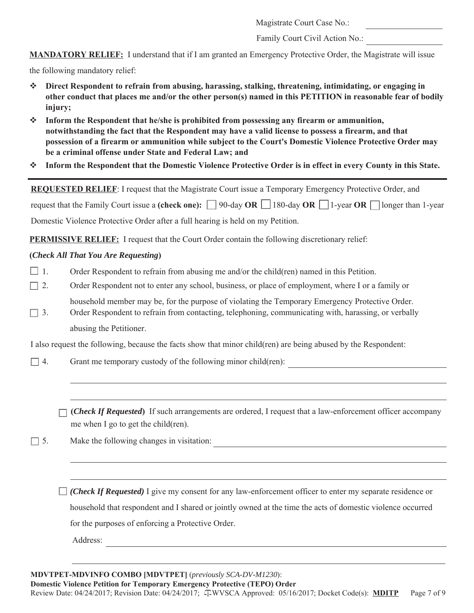Family Court Civil Action No.:

**MANDATORY RELIEF:** I understand that if I am granted an Emergency Protective Order, the Magistrate will issue

the following mandatory relief:

- **Direct Respondent to refrain from abusing, harassing, stalking, threatening, intimidating, or engaging in other conduct that places me and/or the other person(s) named in this PETITION in reasonable fear of bodily injury;**
- **Inform the Respondent that he/she is prohibited from possessing any firearm or ammunition, notwithstanding the fact that the Respondent may have a valid license to possess a firearm, and that possession of a firearm or ammunition while subject to the Court's Domestic Violence Protective Order may be a criminal offense under State and Federal Law; and**
- **Inform the Respondent that the Domestic Violence Protective Order is in effect in every County in this State.**

**REQUESTED RELIEF**: I request that the Magistrate Court issue a Temporary Emergency Protective Order, and

request that the Family Court issue a **(check one):**  $\Box$  90-day **OR**  $\Box$  180-day **OR**  $\Box$  1-year **OR**  $\Box$  longer than 1-year

Domestic Violence Protective Order after a full hearing is held on my Petition.

**PERMISSIVE RELIEF:** I request that the Court Order contain the following discretionary relief:

#### **(***Check All That You Are Requesting***)**

- $\Box$  1. Order Respondent to refrain from abusing me and/or the child(ren) named in this Petition.
- □ 2. Order Respondent not to enter any school, business, or place of employment, where I or a family or household member may be, for the purpose of violating the Temporary Emergency Protective Order.
- $\Box$  3. Order Respondent to refrain from contacting, telephoning, communicating with, harassing, or verbally abusing the Petitioner.

I also request the following, because the facts show that minor child(ren) are being abused by the Respondent:

- $\Box$  4. Grant me temporary custody of the following minor child(ren):
	- **(***Check If Requested***)** If such arrangements are ordered, I request that a law-enforcement officer accompany me when I go to get the child(ren).
- 5. Make the following changes in visitation:

*(Check If Requested)* I give my consent for any law-enforcement officer to enter my separate residence or household that respondent and I shared or jointly owned at the time the acts of domestic violence occurred for the purposes of enforcing a Protective Order.

Address: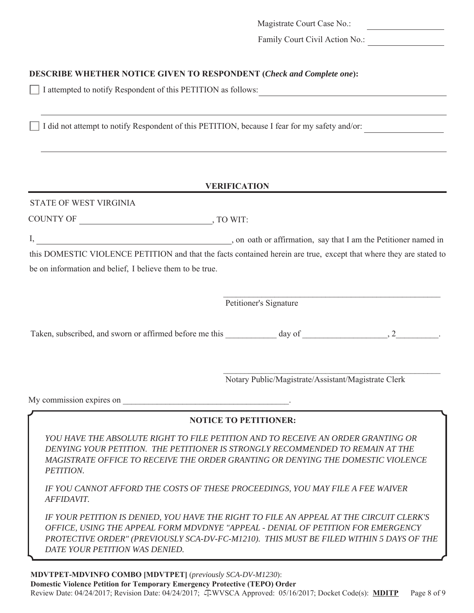Family Court Civil Action No.:

### **DESCRIBE WHETHER NOTICE GIVEN TO RESPONDENT (***Check and Complete one***):**

I attempted to notify Respondent of this PETITION as follows:

I did not attempt to notify Respondent of this PETITION, because I fear for my safety and/or:

#### **VERIFICATION**

### STATE OF WEST VIRGINIA

COUNTY OF , TO WIT:

I,  $\frac{1}{2}$  , on oath or affirmation, say that I am the Petitioner named in

this DOMESTIC VIOLENCE PETITION and that the facts contained herein are true, except that where they are stated to be on information and belief, I believe them to be true.

 $\mathcal{L}_\text{max}$  and the contract of the contract of the contract of the contract of the contract of the contract of the contract of the contract of the contract of the contract of the contract of the contract of the contrac

Petitioner's Signature

Taken, subscribed, and sworn or affirmed before me this day of  $\qquad \qquad$ , 2

 $\mathcal{L}_\mathcal{L} = \{ \mathcal{L}_\mathcal{L} = \{ \mathcal{L}_\mathcal{L} = \{ \mathcal{L}_\mathcal{L} = \{ \mathcal{L}_\mathcal{L} = \{ \mathcal{L}_\mathcal{L} = \{ \mathcal{L}_\mathcal{L} = \{ \mathcal{L}_\mathcal{L} = \{ \mathcal{L}_\mathcal{L} = \{ \mathcal{L}_\mathcal{L} = \{ \mathcal{L}_\mathcal{L} = \{ \mathcal{L}_\mathcal{L} = \{ \mathcal{L}_\mathcal{L} = \{ \mathcal{L}_\mathcal{L} = \{ \mathcal{L}_\mathcal{$ Notary Public/Magistrate/Assistant/Magistrate Clerk

My commission expires on

#### **NOTICE TO PETITIONER:**

YOU HAVE THE ABSOLUTE RIGHT TO FILE PETITION AND TO RECEIVE AN ORDER GRANTING OR *DENYING YOUR PETITION. THE PETITIONER IS STRONGLY RECOMMENDED TO REMAIN AT THE MAGISTRATE OFFICE TO RECEIVE THE ORDER GRANTING OR DENYING THE DOMESTIC VIOLENCE PETITION.* 

*IF YOU CANNOT AFFORD THE COSTS OF THESE PROCEEDINGS, YOU MAY FILE A FEE WAIVER AFFIDAVIT.* 

*IF YOUR PETITION IS DENIED, YOU HAVE THE RIGHT TO FILE AN APPEAL AT THE CIRCUIT CLERK'S OFFICE, USING THE APPEAL FORM MDVDNYE "APPEAL - DENIAL OF PETITION FOR EMERGENCY PROTECTIVE ORDER" (PREVIOUSLY SCA-DV-FC-M1210). THIS MUST BE FILED WITHIN 5 DAYS OF THE DATE YOUR PETITION WAS DENIED.*